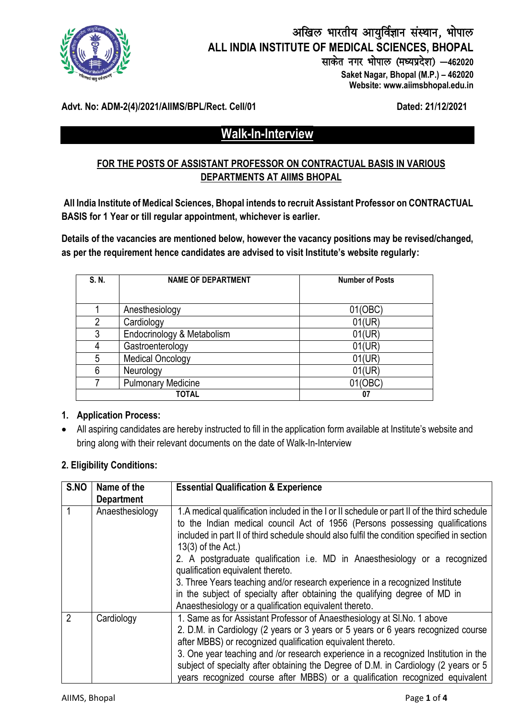

# अखिल भारतीय आयुर्विज्ञान संस्थान, भोपाल **ALL INDIA INSTITUTE OF MEDICAL SCIENCES, BHOPAL** साकेत नगर भोपाल (मध्यप्रदेश) *-* 462020

 **Saket Nagar, Bhopal (M.P.) – 462020 Website: www.aiimsbhopal.edu.in**

#### **Advt. No: ADM-2(4)/2021/AIIMS/BPL/Rect. Cell/01 Dated: 21/12/2021**

# **Walk-In-Interview**

### **FOR THE POSTS OF ASSISTANT PROFESSOR ON CONTRACTUAL BASIS IN VARIOUS DEPARTMENTS AT AIIMS BHOPAL**

**All India Institute of Medical Sciences, Bhopal intends to recruit Assistant Professor on CONTRACTUAL BASIS for 1 Year or till regular appointment, whichever is earlier.**

**Details of the vacancies are mentioned below, however the vacancy positions may be revised/changed, as per the requirement hence candidates are advised to visit Institute's website regularly:** 

| S. N. | <b>NAME OF DEPARTMENT</b>  | <b>Number of Posts</b> |  |
|-------|----------------------------|------------------------|--|
|       |                            |                        |  |
|       | Anesthesiology             | 01(OBC)                |  |
| 2     | Cardiology                 | 01(UR)                 |  |
| 3     | Endocrinology & Metabolism | 01(UR)                 |  |
| 4     | Gastroenterology           | 01(UR)                 |  |
| 5     | <b>Medical Oncology</b>    | 01(UR)                 |  |
| 6     | Neurology                  | 01(UR)                 |  |
|       | <b>Pulmonary Medicine</b>  | 01(OBC)                |  |
|       | <b>TOTAL</b>               | 07                     |  |

#### **1. Application Process:**

 All aspiring candidates are hereby instructed to fill in the application form available at Institute's website and bring along with their relevant documents on the date of Walk-In-Interview

#### **2. Eligibility Conditions:**

| S.NO           | Name of the<br><b>Department</b> | <b>Essential Qualification &amp; Experience</b>                                                                                                                                                                                                                                                                                                                                                                                                                                                                                                                                                                                                |
|----------------|----------------------------------|------------------------------------------------------------------------------------------------------------------------------------------------------------------------------------------------------------------------------------------------------------------------------------------------------------------------------------------------------------------------------------------------------------------------------------------------------------------------------------------------------------------------------------------------------------------------------------------------------------------------------------------------|
|                | Anaesthesiology                  | 1. A medical qualification included in the I or II schedule or part II of the third schedule<br>to the Indian medical council Act of 1956 (Persons possessing qualifications<br>included in part II of third schedule should also fulfil the condition specified in section<br>$13(3)$ of the Act.)<br>2. A postgraduate qualification i.e. MD in Anaesthesiology or a recognized<br>qualification equivalent thereto.<br>3. Three Years teaching and/or research experience in a recognized Institute<br>in the subject of specialty after obtaining the qualifying degree of MD in<br>Anaesthesiology or a qualification equivalent thereto. |
| $\overline{2}$ | Cardiology                       | 1. Same as for Assistant Professor of Anaesthesiology at SI. No. 1 above<br>2. D.M. in Cardiology (2 years or 3 years or 5 years or 6 years recognized course<br>after MBBS) or recognized qualification equivalent thereto.<br>3. One year teaching and /or research experience in a recognized Institution in the<br>subject of specialty after obtaining the Degree of D.M. in Cardiology (2 years or 5<br>years recognized course after MBBS) or a qualification recognized equivalent                                                                                                                                                     |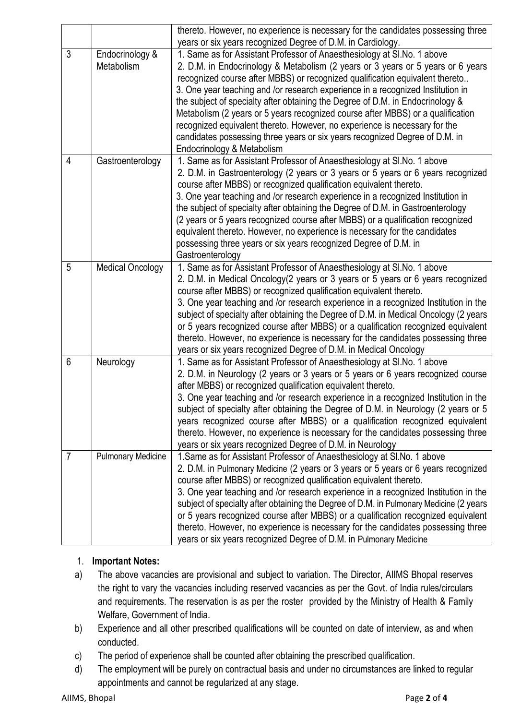|   |                           | thereto. However, no experience is necessary for the candidates possessing three       |
|---|---------------------------|----------------------------------------------------------------------------------------|
|   |                           | years or six years recognized Degree of D.M. in Cardiology.                            |
| 3 | Endocrinology &           | 1. Same as for Assistant Professor of Anaesthesiology at SI. No. 1 above               |
|   | Metabolism                | 2. D.M. in Endocrinology & Metabolism (2 years or 3 years or 5 years or 6 years        |
|   |                           | recognized course after MBBS) or recognized qualification equivalent thereto           |
|   |                           | 3. One year teaching and /or research experience in a recognized Institution in        |
|   |                           | the subject of specialty after obtaining the Degree of D.M. in Endocrinology &         |
|   |                           | Metabolism (2 years or 5 years recognized course after MBBS) or a qualification        |
|   |                           | recognized equivalent thereto. However, no experience is necessary for the             |
|   |                           | candidates possessing three years or six years recognized Degree of D.M. in            |
|   |                           | Endocrinology & Metabolism                                                             |
| 4 | Gastroenterology          | 1. Same as for Assistant Professor of Anaesthesiology at SI. No. 1 above               |
|   |                           | 2. D.M. in Gastroenterology (2 years or 3 years or 5 years or 6 years recognized       |
|   |                           | course after MBBS) or recognized qualification equivalent thereto.                     |
|   |                           | 3. One year teaching and /or research experience in a recognized Institution in        |
|   |                           | the subject of specialty after obtaining the Degree of D.M. in Gastroenterology        |
|   |                           | (2 years or 5 years recognized course after MBBS) or a qualification recognized        |
|   |                           | equivalent thereto. However, no experience is necessary for the candidates             |
|   |                           | possessing three years or six years recognized Degree of D.M. in                       |
|   |                           | Gastroenterology                                                                       |
| 5 | <b>Medical Oncology</b>   | 1. Same as for Assistant Professor of Anaesthesiology at SI. No. 1 above               |
|   |                           | 2. D.M. in Medical Oncology(2 years or 3 years or 5 years or 6 years recognized        |
|   |                           | course after MBBS) or recognized qualification equivalent thereto.                     |
|   |                           | 3. One year teaching and /or research experience in a recognized Institution in the    |
|   |                           | subject of specialty after obtaining the Degree of D.M. in Medical Oncology (2 years   |
|   |                           | or 5 years recognized course after MBBS) or a qualification recognized equivalent      |
|   |                           | thereto. However, no experience is necessary for the candidates possessing three       |
|   |                           | years or six years recognized Degree of D.M. in Medical Oncology                       |
| 6 | Neurology                 | 1. Same as for Assistant Professor of Anaesthesiology at SI. No. 1 above               |
|   |                           | 2. D.M. in Neurology (2 years or 3 years or 5 years or 6 years recognized course       |
|   |                           | after MBBS) or recognized qualification equivalent thereto.                            |
|   |                           | 3. One year teaching and /or research experience in a recognized Institution in the    |
|   |                           | subject of specialty after obtaining the Degree of D.M. in Neurology (2 years or 5     |
|   |                           | years recognized course after MBBS) or a qualification recognized equivalent           |
|   |                           | thereto. However, no experience is necessary for the candidates possessing three       |
|   |                           | years or six years recognized Degree of D.M. in Neurology                              |
| 7 | <b>Pulmonary Medicine</b> | 1. Same as for Assistant Professor of Anaesthesiology at SI. No. 1 above               |
|   |                           | 2. D.M. in Pulmonary Medicine (2 years or 3 years or 5 years or 6 years recognized     |
|   |                           | course after MBBS) or recognized qualification equivalent thereto.                     |
|   |                           | 3. One year teaching and /or research experience in a recognized Institution in the    |
|   |                           | subject of specialty after obtaining the Degree of D.M. in Pulmonary Medicine (2 years |
|   |                           | or 5 years recognized course after MBBS) or a qualification recognized equivalent      |
|   |                           | thereto. However, no experience is necessary for the candidates possessing three       |
|   |                           | years or six years recognized Degree of D.M. in Pulmonary Medicine                     |

### 1. **Important Notes:**

- a) The above vacancies are provisional and subject to variation. The Director, AIIMS Bhopal reserves the right to vary the vacancies including reserved vacancies as per the Govt. of India rules/circulars and requirements. The reservation is as per the roster provided by the Ministry of Health & Family Welfare, Government of India.
- b) Experience and all other prescribed qualifications will be counted on date of interview, as and when conducted.
- c) The period of experience shall be counted after obtaining the prescribed qualification.
- d) The employment will be purely on contractual basis and under no circumstances are linked to regular appointments and cannot be regularized at any stage.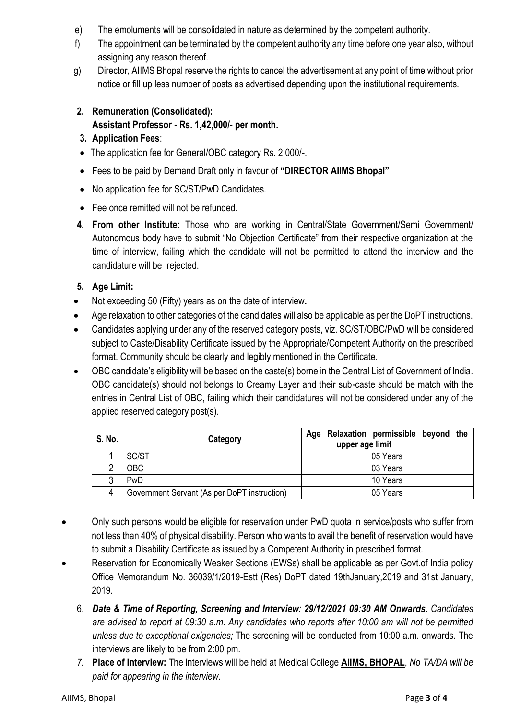- e) The emoluments will be consolidated in nature as determined by the competent authority.
- f) The appointment can be terminated by the competent authority any time before one year also, without assigning any reason thereof.
- g) Director, AIIMS Bhopal reserve the rights to cancel the advertisement at any point of time without prior notice or fill up less number of posts as advertised depending upon the institutional requirements.

#### **2. Remuneration (Consolidated): Assistant Professor - Rs. 1,42,000/- per month.**

- **3. Application Fees**:
- The application fee for General/OBC category Rs. 2,000/-.
- Fees to be paid by Demand Draft only in favour of **"DIRECTOR AIIMS Bhopal"**
- No application fee for SC/ST/PwD Candidates.
- Fee once remitted will not be refunded.
- **4. From other Institute:** Those who are working in Central/State Government/Semi Government/ Autonomous body have to submit "No Objection Certificate" from their respective organization at the time of interview, failing which the candidate will not be permitted to attend the interview and the candidature will be rejected.

## **5. Age Limit:**

- Not exceeding 50 (Fifty) years as on the date of interview**.**
- Age relaxation to other categories of the candidates will also be applicable as per the DoPT instructions.
- Candidates applying under any of the reserved category posts, viz. SC/ST/OBC/PwD will be considered subject to Caste/Disability Certificate issued by the Appropriate/Competent Authority on the prescribed format. Community should be clearly and legibly mentioned in the Certificate.
- OBC candidate's eligibility will be based on the caste(s) borne in the Central List of Government of India. OBC candidate(s) should not belongs to Creamy Layer and their sub-caste should be match with the entries in Central List of OBC, failing which their candidatures will not be considered under any of the applied reserved category post(s).

| S. No. | Category                                     | Age Relaxation permissible beyond the<br>upper age limit |
|--------|----------------------------------------------|----------------------------------------------------------|
|        | SC/ST                                        | 05 Years                                                 |
| n      | <b>OBC</b>                                   | 03 Years                                                 |
| 2      | PwD                                          | 10 Years                                                 |
| 4      | Government Servant (As per DoPT instruction) | 05 Years                                                 |

- Only such persons would be eligible for reservation under PwD quota in service/posts who suffer from not less than 40% of physical disability. Person who wants to avail the benefit of reservation would have to submit a Disability Certificate as issued by a Competent Authority in prescribed format.
- Reservation for Economically Weaker Sections (EWSs) shall be applicable as per Govt.of India policy Office Memorandum No. 36039/1/2019-Estt (Res) DoPT dated 19thJanuary,2019 and 31st January, 2019.
	- 6. *Date & Time of Reporting, Screening and Interview: 29/12/2021 09:30 AM Onwards. Candidates are advised to report at 09:30 a.m. Any candidates who reports after 10:00 am will not be permitted unless due to exceptional exigencies;* The screening will be conducted from 10:00 a.m. onwards. The interviews are likely to be from 2:00 pm.
	- *7.* **Place of Interview:** The interviews will be held at Medical College **AIIMS, BHOPAL**, *No TA/DA will be paid for appearing in the interview.*